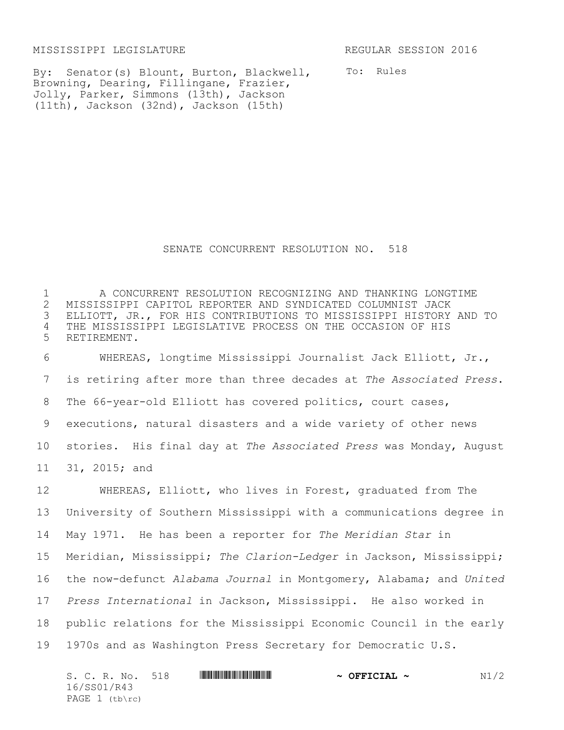MISSISSIPPI LEGISLATURE REGULAR SESSION 2016

By: Senator(s) Blount, Burton, Blackwell, Browning, Dearing, Fillingane, Frazier, Jolly, Parker, Simmons (13th), Jackson (11th), Jackson (32nd), Jackson (15th)

To: Rules

## SENATE CONCURRENT RESOLUTION NO. 518

 A CONCURRENT RESOLUTION RECOGNIZING AND THANKING LONGTIME 2 MISSISSIPPI CAPITOL REPORTER AND SYNDICATED COLUMNIST JACK<br>3 ELLIOTT, JR., FOR HIS CONTRIBUTIONS TO MISSISSIPPI HISTORY ELLIOTT, JR., FOR HIS CONTRIBUTIONS TO MISSISSIPPI HISTORY AND TO THE MISSISSIPPI LEGISLATIVE PROCESS ON THE OCCASION OF HIS RETIREMENT.

 WHEREAS, longtime Mississippi Journalist Jack Elliott, Jr., is retiring after more than three decades at *The Associated Press*. The 66-year-old Elliott has covered politics, court cases, executions, natural disasters and a wide variety of other news stories. His final day at *The Associated Press* was Monday, August 31, 2015; and

 WHEREAS, Elliott, who lives in Forest, graduated from The University of Southern Mississippi with a communications degree in May 1971. He has been a reporter for *The Meridian Star* in Meridian, Mississippi; *The Clarion-Ledger* in Jackson, Mississippi; the now-defunct *Alabama Journal* in Montgomery, Alabama; and *United Press International* in Jackson, Mississippi. He also worked in public relations for the Mississippi Economic Council in the early 1970s and as Washington Press Secretary for Democratic U.S.

| S. C. R. No. 518 | <u> III di kacamatan ing Kabupatèn Bandaran III di kacamatan III di kacamatan III di kacamatan III di kacamatan I</u> | $\sim$ OFFICIAL $\sim$ | N1/2 |
|------------------|-----------------------------------------------------------------------------------------------------------------------|------------------------|------|
| 16/SS01/R43      |                                                                                                                       |                        |      |
| PAGE 1 (tb\rc)   |                                                                                                                       |                        |      |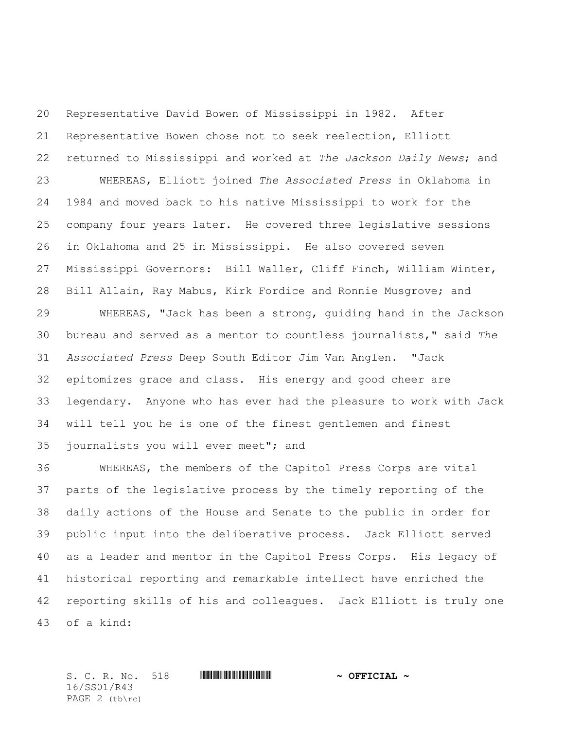Representative David Bowen of Mississippi in 1982. After Representative Bowen chose not to seek reelection, Elliott returned to Mississippi and worked at *The Jackson Daily News*; and WHEREAS, Elliott joined *The Associated Press* in Oklahoma in 1984 and moved back to his native Mississippi to work for the company four years later. He covered three legislative sessions in Oklahoma and 25 in Mississippi. He also covered seven Mississippi Governors: Bill Waller, Cliff Finch, William Winter, Bill Allain, Ray Mabus, Kirk Fordice and Ronnie Musgrove; and

 WHEREAS, "Jack has been a strong, guiding hand in the Jackson bureau and served as a mentor to countless journalists," said *The Associated Press* Deep South Editor Jim Van Anglen. "Jack epitomizes grace and class. His energy and good cheer are legendary. Anyone who has ever had the pleasure to work with Jack will tell you he is one of the finest gentlemen and finest journalists you will ever meet"; and

 WHEREAS, the members of the Capitol Press Corps are vital parts of the legislative process by the timely reporting of the daily actions of the House and Senate to the public in order for public input into the deliberative process. Jack Elliott served as a leader and mentor in the Capitol Press Corps. His legacy of historical reporting and remarkable intellect have enriched the reporting skills of his and colleagues. Jack Elliott is truly one of a kind:

S. C. R. No. 518 \*SS01/R43\* **~ OFFICIAL ~** 16/SS01/R43 PAGE (tb\rc)